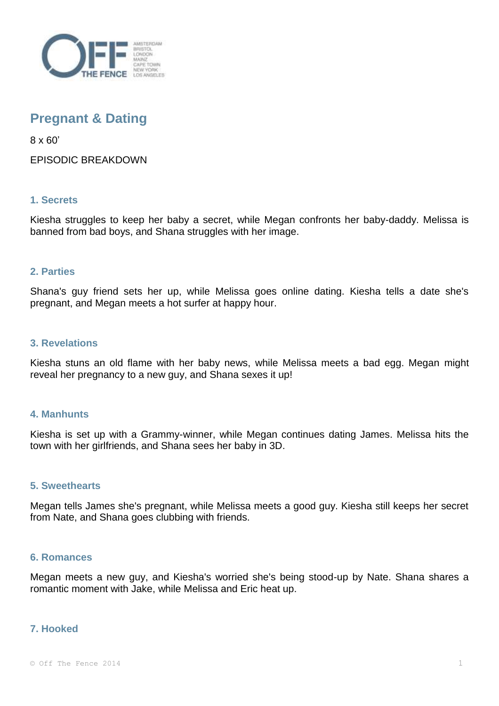

# **Pregnant & Dating**

8 x 60'

EPISODIC BREAKDOWN

# **1. Secrets**

Kiesha struggles to keep her baby a secret, while Megan confronts her baby-daddy. Melissa is banned from bad boys, and Shana struggles with her image.

## **2. Parties**

Shana's guy friend sets her up, while Melissa goes online dating. Kiesha tells a date she's pregnant, and Megan meets a hot surfer at happy hour.

### **3. Revelations**

Kiesha stuns an old flame with her baby news, while Melissa meets a bad egg. Megan might reveal her pregnancy to a new guy, and Shana sexes it up!

### **4. Manhunts**

Kiesha is set up with a Grammy-winner, while Megan continues dating James. Melissa hits the town with her girlfriends, and Shana sees her baby in 3D.

### **5. Sweethearts**

Megan tells James she's pregnant, while Melissa meets a good guy. Kiesha still keeps her secret from Nate, and Shana goes clubbing with friends.

#### **6. Romances**

Megan meets a new guy, and Kiesha's worried she's being stood-up by Nate. Shana shares a romantic moment with Jake, while Melissa and Eric heat up.

### **7. Hooked**